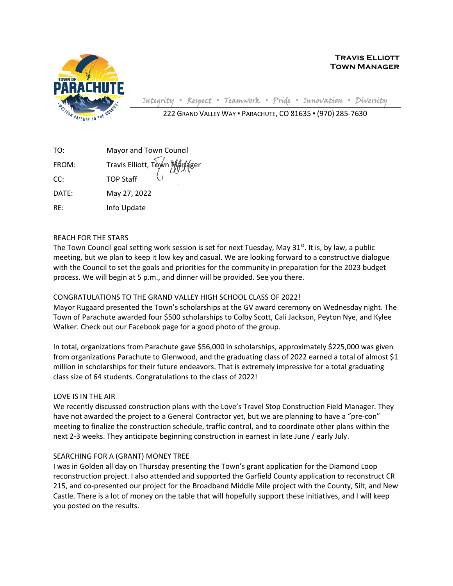

**Travis Elliott Town Manager**

Integrity **▪** Respect **▪** Teamwork **▪** Pride **▪** Innovation **▪** Diversity

222 GRAND VALLEY WAY ▪ PARACHUTE, CO 81635 ▪ (970) 285-7630

| TO:   | Mayor and Town Council       |
|-------|------------------------------|
| FROM: | Travis Elliott, Town Manager |
| CC:   | <b>TOP Staff</b>             |
| DATE: | May 27, 2022                 |
| RF:   | Info Update                  |

## REACH FOR THE STARS

The Town Council goal setting work session is set for next Tuesday, May 31<sup>st</sup>. It is, by law, a public meeting, but we plan to keep it low key and casual. We are looking forward to a constructive dialogue with the Council to set the goals and priorities for the community in preparation for the 2023 budget process. We will begin at 5 p.m., and dinner will be provided. See you there.

## CONGRATULATIONS TO THE GRAND VALLEY HIGH SCHOOL CLASS OF 2022!

Mayor Rugaard presented the Town's scholarships at the GV award ceremony on Wednesday night. The Town of Parachute awarded four \$500 scholarships to Colby Scott, Cali Jackson, Peyton Nye, and Kylee Walker. Check out our Facebook page for a good photo of the group.

In total, organizations from Parachute gave \$56,000 in scholarships, approximately \$225,000 was given from organizations Parachute to Glenwood, and the graduating class of 2022 earned a total of almost \$1 million in scholarships for their future endeavors. That is extremely impressive for a total graduating class size of 64 students. Congratulations to the class of 2022!

## LOVE IS IN THE AIR

We recently discussed construction plans with the Love's Travel Stop Construction Field Manager. They have not awarded the project to a General Contractor yet, but we are planning to have a "pre-con" meeting to finalize the construction schedule, traffic control, and to coordinate other plans within the next 2-3 weeks. They anticipate beginning construction in earnest in late June / early July.

## SEARCHING FOR A (GRANT) MONEY TREE

I was in Golden all day on Thursday presenting the Town's grant application for the Diamond Loop reconstruction project. I also attended and supported the Garfield County application to reconstruct CR 215, and co-presented our project for the Broadband Middle Mile project with the County, Silt, and New Castle. There is a lot of money on the table that will hopefully support these initiatives, and I will keep you posted on the results.